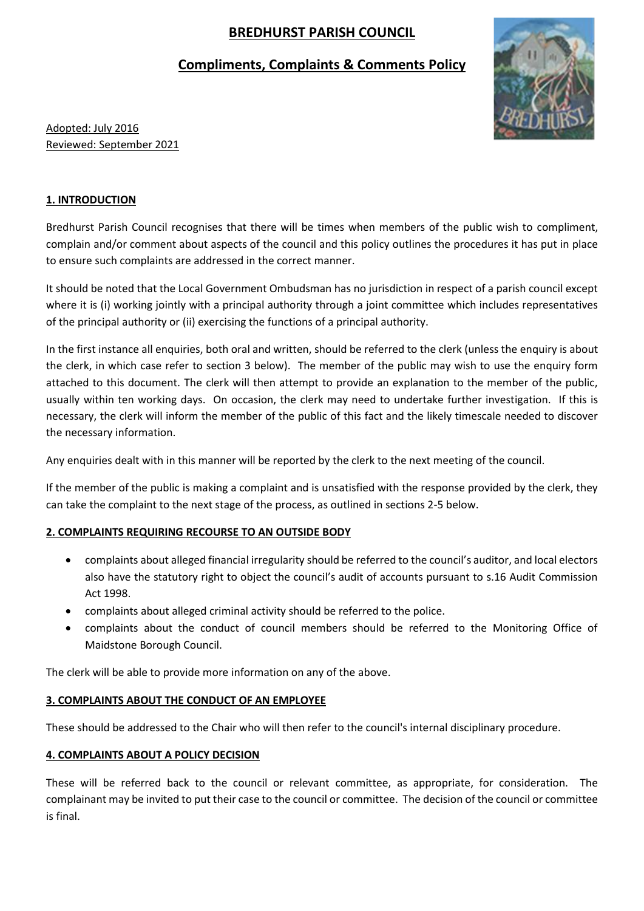# **BREDHURST PARISH COUNCIL**

## **Compliments, Complaints & Comments Policy**



Adopted: July 2016 Reviewed: September 2021

## **1. INTRODUCTION**

Bredhurst Parish Council recognises that there will be times when members of the public wish to compliment, complain and/or comment about aspects of the council and this policy outlines the procedures it has put in place to ensure such complaints are addressed in the correct manner.

It should be noted that the Local Government Ombudsman has no jurisdiction in respect of a parish council except where it is (i) working jointly with a principal authority through a joint committee which includes representatives of the principal authority or (ii) exercising the functions of a principal authority.

In the first instance all enquiries, both oral and written, should be referred to the clerk (unless the enquiry is about the clerk, in which case refer to section 3 below). The member of the public may wish to use the enquiry form attached to this document. The clerk will then attempt to provide an explanation to the member of the public, usually within ten working days. On occasion, the clerk may need to undertake further investigation. If this is necessary, the clerk will inform the member of the public of this fact and the likely timescale needed to discover the necessary information.

Any enquiries dealt with in this manner will be reported by the clerk to the next meeting of the council.

If the member of the public is making a complaint and is unsatisfied with the response provided by the clerk, they can take the complaint to the next stage of the process, as outlined in sections 2-5 below.

## **2. COMPLAINTS REQUIRING RECOURSE TO AN OUTSIDE BODY**

- complaints about alleged financial irregularity should be referred to the council's auditor, and local electors also have the statutory right to object the council's audit of accounts pursuant to s.16 Audit Commission Act 1998.
- complaints about alleged criminal activity should be referred to the police.
- complaints about the conduct of council members should be referred to the Monitoring Office of Maidstone Borough Council.

The clerk will be able to provide more information on any of the above.

## **3. COMPLAINTS ABOUT THE CONDUCT OF AN EMPLOYEE**

These should be addressed to the Chair who will then refer to the council's internal disciplinary procedure.

## **4. COMPLAINTS ABOUT A POLICY DECISION**

These will be referred back to the council or relevant committee, as appropriate, for consideration. The complainant may be invited to put their case to the council or committee. The decision of the council or committee is final.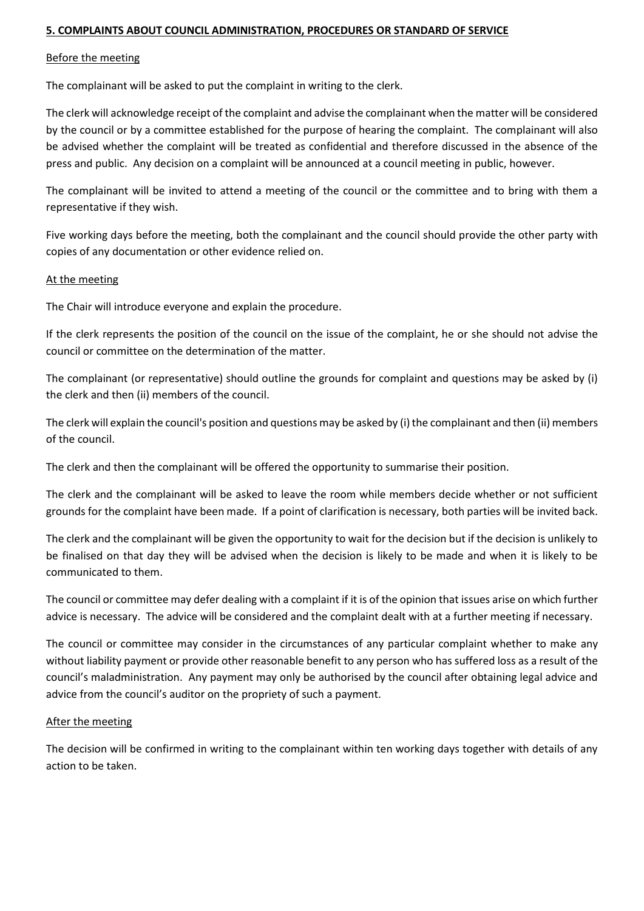#### **5. COMPLAINTS ABOUT COUNCIL ADMINISTRATION, PROCEDURES OR STANDARD OF SERVICE**

#### Before the meeting

The complainant will be asked to put the complaint in writing to the clerk.

The clerk will acknowledge receipt of the complaint and advise the complainant when the matter will be considered by the council or by a committee established for the purpose of hearing the complaint. The complainant will also be advised whether the complaint will be treated as confidential and therefore discussed in the absence of the press and public. Any decision on a complaint will be announced at a council meeting in public, however.

The complainant will be invited to attend a meeting of the council or the committee and to bring with them a representative if they wish.

Five working days before the meeting, both the complainant and the council should provide the other party with copies of any documentation or other evidence relied on.

#### At the meeting

The Chair will introduce everyone and explain the procedure.

If the clerk represents the position of the council on the issue of the complaint, he or she should not advise the council or committee on the determination of the matter.

The complainant (or representative) should outline the grounds for complaint and questions may be asked by (i) the clerk and then (ii) members of the council.

The clerk will explain the council's position and questions may be asked by (i) the complainant and then (ii) members of the council.

The clerk and then the complainant will be offered the opportunity to summarise their position.

The clerk and the complainant will be asked to leave the room while members decide whether or not sufficient grounds for the complaint have been made. If a point of clarification is necessary, both parties will be invited back.

The clerk and the complainant will be given the opportunity to wait for the decision but if the decision is unlikely to be finalised on that day they will be advised when the decision is likely to be made and when it is likely to be communicated to them.

The council or committee may defer dealing with a complaint if it is of the opinion that issues arise on which further advice is necessary. The advice will be considered and the complaint dealt with at a further meeting if necessary.

The council or committee may consider in the circumstances of any particular complaint whether to make any without liability payment or provide other reasonable benefit to any person who has suffered loss as a result of the council's maladministration. Any payment may only be authorised by the council after obtaining legal advice and advice from the council's auditor on the propriety of such a payment.

#### After the meeting

The decision will be confirmed in writing to the complainant within ten working days together with details of any action to be taken.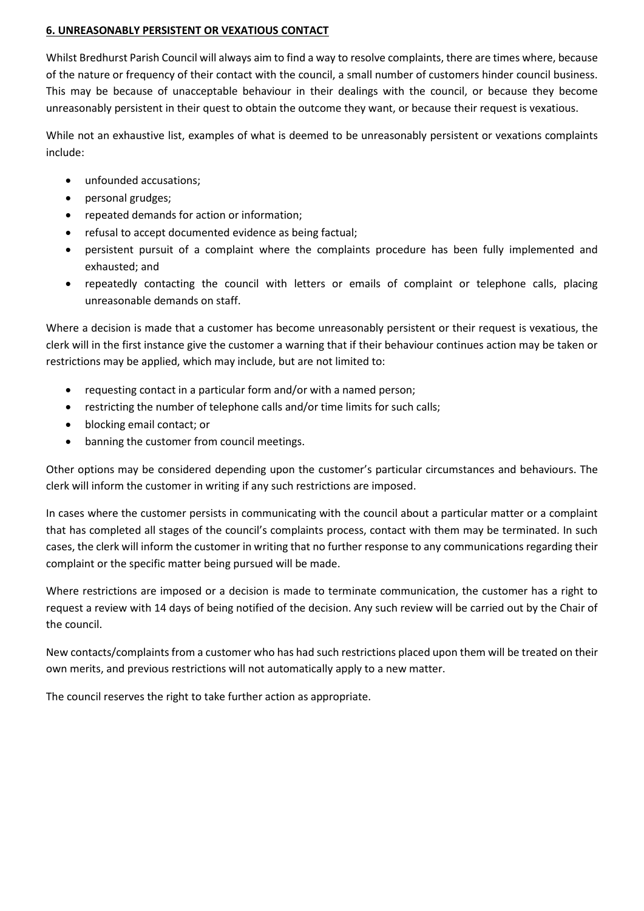#### **6. UNREASONABLY PERSISTENT OR VEXATIOUS CONTACT**

Whilst Bredhurst Parish Council will always aim to find a way to resolve complaints, there are times where, because of the nature or frequency of their contact with the council, a small number of customers hinder council business. This may be because of unacceptable behaviour in their dealings with the council, or because they become unreasonably persistent in their quest to obtain the outcome they want, or because their request is vexatious.

While not an exhaustive list, examples of what is deemed to be unreasonably persistent or vexations complaints include:

- unfounded accusations;
- personal grudges;
- repeated demands for action or information;
- refusal to accept documented evidence as being factual;
- persistent pursuit of a complaint where the complaints procedure has been fully implemented and exhausted; and
- repeatedly contacting the council with letters or emails of complaint or telephone calls, placing unreasonable demands on staff.

Where a decision is made that a customer has become unreasonably persistent or their request is vexatious, the clerk will in the first instance give the customer a warning that if their behaviour continues action may be taken or restrictions may be applied, which may include, but are not limited to:

- requesting contact in a particular form and/or with a named person;
- restricting the number of telephone calls and/or time limits for such calls;
- blocking email contact; or
- banning the customer from council meetings.

Other options may be considered depending upon the customer's particular circumstances and behaviours. The clerk will inform the customer in writing if any such restrictions are imposed.

In cases where the customer persists in communicating with the council about a particular matter or a complaint that has completed all stages of the council's complaints process, contact with them may be terminated. In such cases, the clerk will inform the customer in writing that no further response to any communications regarding their complaint or the specific matter being pursued will be made.

Where restrictions are imposed or a decision is made to terminate communication, the customer has a right to request a review with 14 days of being notified of the decision. Any such review will be carried out by the Chair of the council.

New contacts/complaints from a customer who has had such restrictions placed upon them will be treated on their own merits, and previous restrictions will not automatically apply to a new matter.

The council reserves the right to take further action as appropriate.